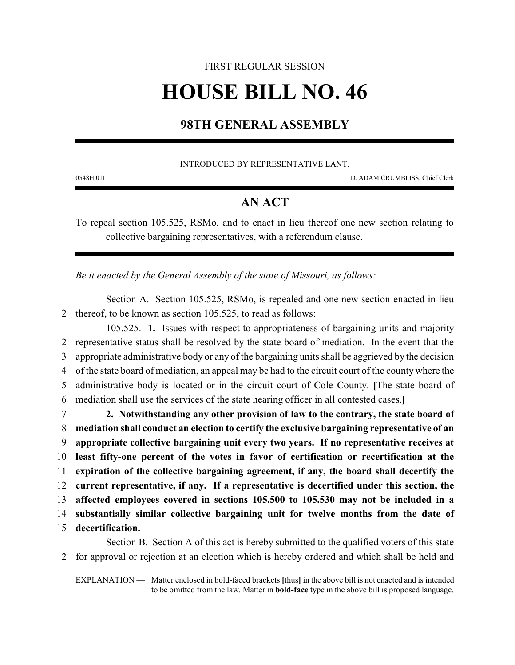## FIRST REGULAR SESSION **HOUSE BILL NO. 46**

## **98TH GENERAL ASSEMBLY**

INTRODUCED BY REPRESENTATIVE LANT.

0548H.01I D. ADAM CRUMBLISS, Chief Clerk

## **AN ACT**

To repeal section 105.525, RSMo, and to enact in lieu thereof one new section relating to collective bargaining representatives, with a referendum clause.

*Be it enacted by the General Assembly of the state of Missouri, as follows:*

Section A. Section 105.525, RSMo, is repealed and one new section enacted in lieu 2 thereof, to be known as section 105.525, to read as follows:

105.525. **1.** Issues with respect to appropriateness of bargaining units and majority representative status shall be resolved by the state board of mediation. In the event that the appropriate administrative body or any of the bargaining units shall be aggrieved by the decision of the state board of mediation, an appeal may be had to the circuit court of the county where the administrative body is located or in the circuit court of Cole County. **[**The state board of mediation shall use the services of the state hearing officer in all contested cases.**]**

 **2. Notwithstanding any other provision of law to the contrary, the state board of mediation shall conduct an election to certify the exclusive bargaining representative of an appropriate collective bargaining unit every two years. If no representative receives at least fifty-one percent of the votes in favor of certification or recertification at the expiration of the collective bargaining agreement, if any, the board shall decertify the current representative, if any. If a representative is decertified under this section, the affected employees covered in sections 105.500 to 105.530 may not be included in a substantially similar collective bargaining unit for twelve months from the date of decertification.**

Section B. Section A of this act is hereby submitted to the qualified voters of this state 2 for approval or rejection at an election which is hereby ordered and which shall be held and

EXPLANATION — Matter enclosed in bold-faced brackets **[**thus**]** in the above bill is not enacted and is intended to be omitted from the law. Matter in **bold-face** type in the above bill is proposed language.